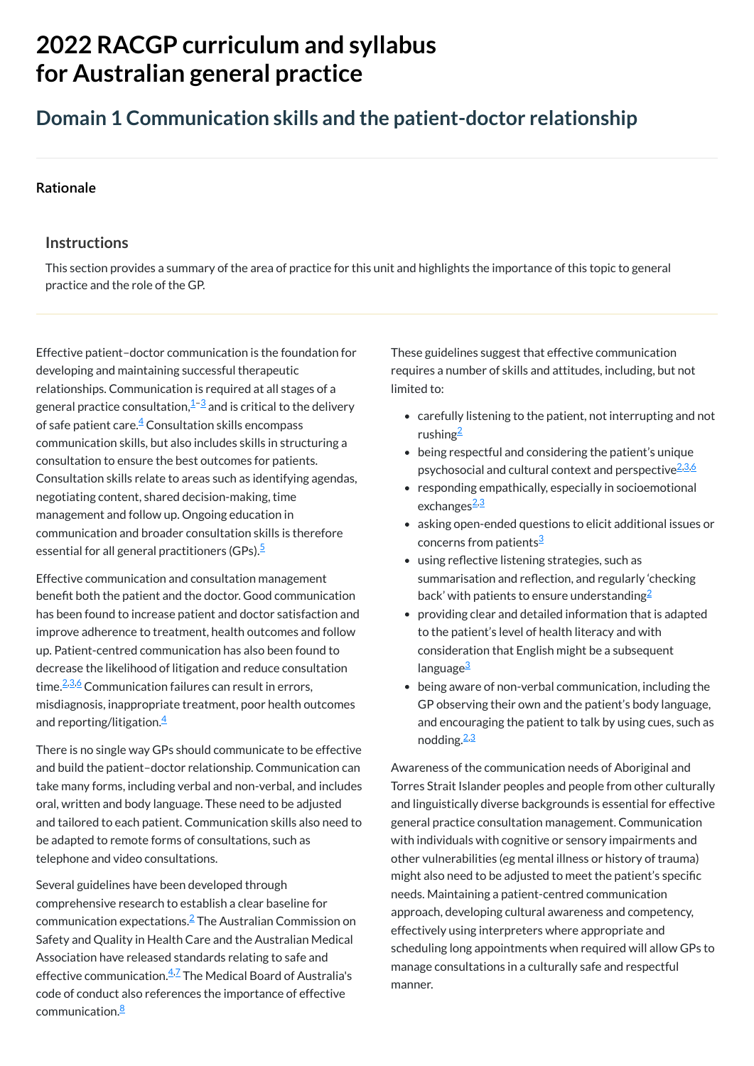# **2022 RACGP curriculum and syllabus for Australian [general practice](https://www.racgp.org.au/Curriculum-and-Syllabus/home)**

## **Domain 1 Communication skills and the patient-doctor relationship**

#### **[Rationale](javascript:void(0))**

#### **Instructions**

Effective patient–doctor communication is the foundation for developing and maintaining successful therapeutic relationships. Communication is required at all stages of a general practice consultation, $\frac{1}{2}$  $\frac{1}{2}$  $\frac{1}{2}$  and is critical to the delivery of safe patient care. $\frac{4}{5}$  $\frac{4}{5}$  $\frac{4}{5}$  Consultation skills encompass communication skills, but also includes skills in structuring a consultation to ensure the best outcomes for patients. Consultation skills relate to areas such as identifying agendas, negotiating content, shared decision-making, time management and follow up. Ongoing education in communication and broader consultation skills is therefore essential for all general practitioners (GPs). [5](#page-1-3)

This section provides a summary of the area of practice for this unit and highlights the importance of this topic to general practice and the role of the GP.

Effective communication and consultation management benefit both the patient and the doctor. Good communication has been found to increase patient and doctor satisfaction and improve adherence to treatment, health outcomes and follow up. Patient-centred communication has also been found to decrease the likelihood of litigation and reduce consultation time.<sup>[2,](#page-1-4)[3](#page-1-1)[,6](#page-1-5)</sup> Communication failures can result in errors, misdiagnosis, inappropriate treatment, poor health outcomes and reporting/litigation.<sup>[4](#page-1-2)</sup>

Several guidelines have been developed through comprehensive research to establish a clear baseline for  ${\sf comm$ unication expectations. $^2$  $^2$  The Australian Commission on Safety and Quality in Health Care and the Australian Medical Association have released standards relating to safe and effective communication.<sup>[4](#page-1-2)[,7](#page-1-6)</sup> The Medical Board of Australia's code of conduct also references the importance of effective communication.<sup>[8](#page-1-7)</sup>

- carefully listening to the patient, not interrupting and not rushing<sup>[2](#page-1-4)</sup>
- being respectful and considering the patient's unique psychosocial and cultural context and perspective<sup>[2,](#page-1-4)[3](#page-1-1),[6](#page-1-5)</sup>
- responding empathically, especially in socioemotional exchanges<sup>[2](#page-1-4)[,3](#page-1-1)</sup>
- asking open-ended questions to elicit additional issues or concerns from patients<sup>[3](#page-1-1)</sup>
- using reflective listening strategies, such as summarisation and reflection, and regularly 'checking back' with patients to ensure understanding $^2$  $^2$
- providing clear and detailed information that is adapted to the patient's level of health literacy and with consideration that English might be a subsequent language<sup>[3](#page-1-1)</sup>
- being aware of non-verbal communication, including the GP observing their own and the patient's body language, and encouraging the patient to talk by using cues, such as nodding.<sup>[2,](#page-1-4)[3](#page-1-1)</sup>

There is no single way GPs should communicate to be effective and build the patient–doctor relationship. Communication can take many forms, including verbal and non-verbal, and includes oral, written and body language. These need to be adjusted and tailored to each patient. Communication skills also need to be adapted to remote forms of consultations, such as telephone and video consultations.

These guidelines suggest that effective communication requires a number of skills and attitudes, including, but not limited to:

Awareness of the communication needs of Aboriginal and Torres Strait Islander peoples and people from other culturally and linguistically diverse backgrounds is essential for effective general practice consultation management. Communication with individuals with cognitive or sensory impairments and other vulnerabilities (eg mental illness or history of trauma) might also need to be adjusted to meet the patient's specific needs. Maintaining a patient-centred communication approach, developing cultural awareness and competency, effectively using interpreters where appropriate and scheduling long appointments when required will allow GPs to manage consultations in a culturally safe and respectful manner.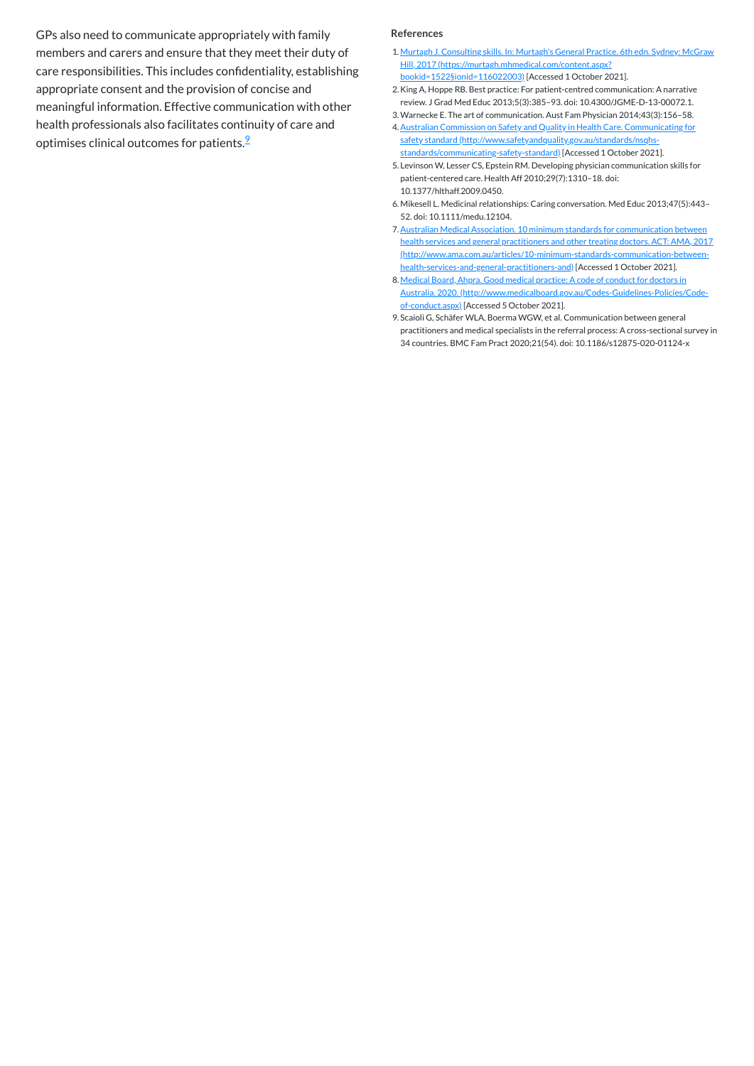GPs also need to communicate appropriately with family members and carers and ensure that they meet their duty of care responsibilities. This includes confidentiality, establishing appropriate consent and the provision of concise and meaningful information. Effective communication with other health professionals also facilitates continuity of care and optimises clinical outcomes for patients.<sup>2</sup>

#### **References**

- <span id="page-1-0"></span>1. Murtagh J. Consulting skills. In: Murtagh's General Practice. 6th edn. Sydney: McGraw Hill, 2017 [\(https://murtagh.mhmedical.com/content.aspx?](https://murtagh.mhmedical.com/content.aspx?bookid=1522§ionid=116022003) bookid=1522§ionid=116022003) [Accessed 1 October 2021].
- <span id="page-1-4"></span>2.King A, Hoppe RB. Best practice: For patient-centred communication: A narrative review. J Grad Med Educ 2013;5(3):385–93. doi: 10.4300/JGME-D-13-00072.1.
- <span id="page-1-1"></span>3.Warnecke E. The art of communication. Aust Fam Physician 2014;43(3):156–58.
- <span id="page-1-2"></span>4.Australian Commission on Safety and Quality in Health Care. Communicating for safety standard [\(http://www.safetyandquality.gov.au/standards/nsqhs](http://www.safetyandquality.gov.au/standards/nsqhs-standards/communicating-safety-standard)standards/communicating-safety-standard) [Accessed 1 October 2021].
- <span id="page-1-3"></span>5. Levinson W, Lesser CS, Epstein RM. Developing physician communication skills for patient-centered care. Health Aff 2010;29(7):1310–18. doi: 10.1377/hlthaff.2009.0450.
- <span id="page-1-5"></span>6. Mikesell L. Medicinal relationships: Caring conversation. Med Educ 2013;47(5):443– 52. doi: 10.1111/medu.12104.
- <span id="page-1-6"></span>7.Australian Medical Association. 10 minimum standards for communication between health services and general practitioners and other treating doctors. ACT: AMA, 2017 [\(http://www.ama.com.au/articles/10-minimum-standards-communication-between](http://www.ama.com.au/articles/10-minimum-standards-communication-between-health-services-and-general-practitioners-and)health-services-and-general-practitioners-and) [Accessed 1 October 2021].
- <span id="page-1-7"></span>8. Medical Board, Ahpra. Good medical practice: A code of conduct for doctors in Australia. 2020. [\(http://www.medicalboard.gov.au/Codes-Guidelines-Policies/Code](http://www.medicalboard.gov.au/Codes-Guidelines-Policies/Code-of-conduct.aspx)of-conduct.aspx) [Accessed 5 October 2021].
- <span id="page-1-8"></span>9. Scaioli G, Schäfer WLA, Boerma WGW, et al. Communication between general practitioners and medical specialists in the referral process: A cross-sectional survey in 34 countries. BMC Fam Pract 2020;21(54). doi: 10.1186/s12875-020-01124-x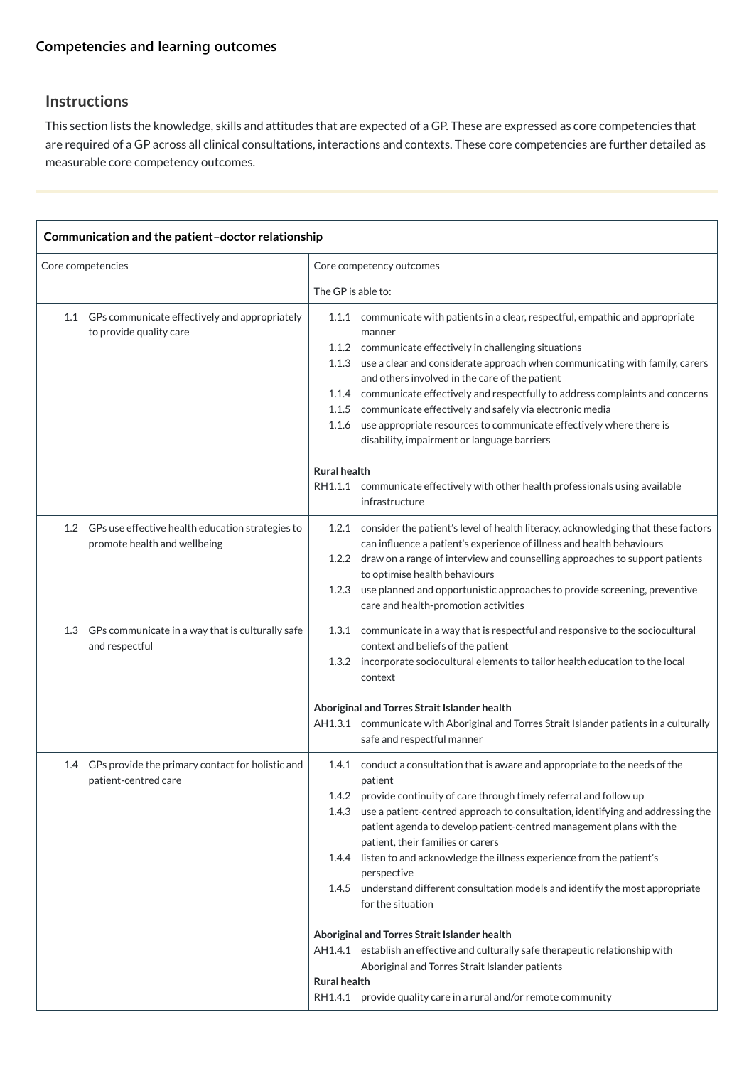## **[Competencies and learning outcomes](javascript:void(0))**

## **Instructions**

This section lists the knowledge, skills and attitudes that are expected of a GP. These are expressed as core competencies that are required of a GP across all clinical consultations, interactions and contexts. These core competencies are further detailed as measurable core competency outcomes.

| Communication and the patient-doctor relationship                                    |                                                                                                                                                                                                                                                                                                                                                                                                                                                                                                                                                                                                                                       |  |  |  |
|--------------------------------------------------------------------------------------|---------------------------------------------------------------------------------------------------------------------------------------------------------------------------------------------------------------------------------------------------------------------------------------------------------------------------------------------------------------------------------------------------------------------------------------------------------------------------------------------------------------------------------------------------------------------------------------------------------------------------------------|--|--|--|
| Core competencies                                                                    | Core competency outcomes                                                                                                                                                                                                                                                                                                                                                                                                                                                                                                                                                                                                              |  |  |  |
|                                                                                      | The GP is able to:                                                                                                                                                                                                                                                                                                                                                                                                                                                                                                                                                                                                                    |  |  |  |
| GPs communicate effectively and appropriately<br>1.1<br>to provide quality care      | 1.1.1 communicate with patients in a clear, respectful, empathic and appropriate<br>manner<br>1.1.2 communicate effectively in challenging situations<br>use a clear and considerate approach when communicating with family, carers<br>1.1.3<br>and others involved in the care of the patient<br>communicate effectively and respectfully to address complaints and concerns<br>1.1.4<br>1.1.5<br>communicate effectively and safely via electronic media<br>use appropriate resources to communicate effectively where there is<br>1.1.6<br>disability, impairment or language barriers<br><b>Rural health</b>                     |  |  |  |
|                                                                                      | RH1.1.1 communicate effectively with other health professionals using available<br>infrastructure                                                                                                                                                                                                                                                                                                                                                                                                                                                                                                                                     |  |  |  |
| 1.2 GPs use effective health education strategies to<br>promote health and wellbeing | consider the patient's level of health literacy, acknowledging that these factors<br>1.2.1<br>can influence a patient's experience of illness and health behaviours<br>draw on a range of interview and counselling approaches to support patients<br>1.2.2<br>to optimise health behaviours<br>use planned and opportunistic approaches to provide screening, preventive<br>1.2.3<br>care and health-promotion activities                                                                                                                                                                                                            |  |  |  |
| 1.3<br>GPs communicate in a way that is culturally safe<br>and respectful            | 1.3.1 communicate in a way that is respectful and responsive to the sociocultural<br>context and beliefs of the patient<br>incorporate sociocultural elements to tailor health education to the local<br>1.3.2<br>context                                                                                                                                                                                                                                                                                                                                                                                                             |  |  |  |
|                                                                                      | Aboriginal and Torres Strait Islander health<br>AH1.3.1 communicate with Aboriginal and Torres Strait Islander patients in a culturally<br>safe and respectful manner                                                                                                                                                                                                                                                                                                                                                                                                                                                                 |  |  |  |
| GPs provide the primary contact for holistic and<br>1.4<br>patient-centred care      | 1.4.1 conduct a consultation that is aware and appropriate to the needs of the<br>patient<br>1.4.2 provide continuity of care through timely referral and follow up<br>use a patient-centred approach to consultation, identifying and addressing the<br>1.4.3<br>patient agenda to develop patient-centred management plans with the<br>patient, their families or carers<br>listen to and acknowledge the illness experience from the patient's<br>1.4.4<br>perspective<br>understand different consultation models and identify the most appropriate<br>1.4.5<br>for the situation<br>Aboriginal and Torres Strait Islander health |  |  |  |
|                                                                                      | AH1.4.1 establish an effective and culturally safe therapeutic relationship with<br>Aboriginal and Torres Strait Islander patients<br><b>Rural health</b><br>RH1.4.1 provide quality care in a rural and/or remote community                                                                                                                                                                                                                                                                                                                                                                                                          |  |  |  |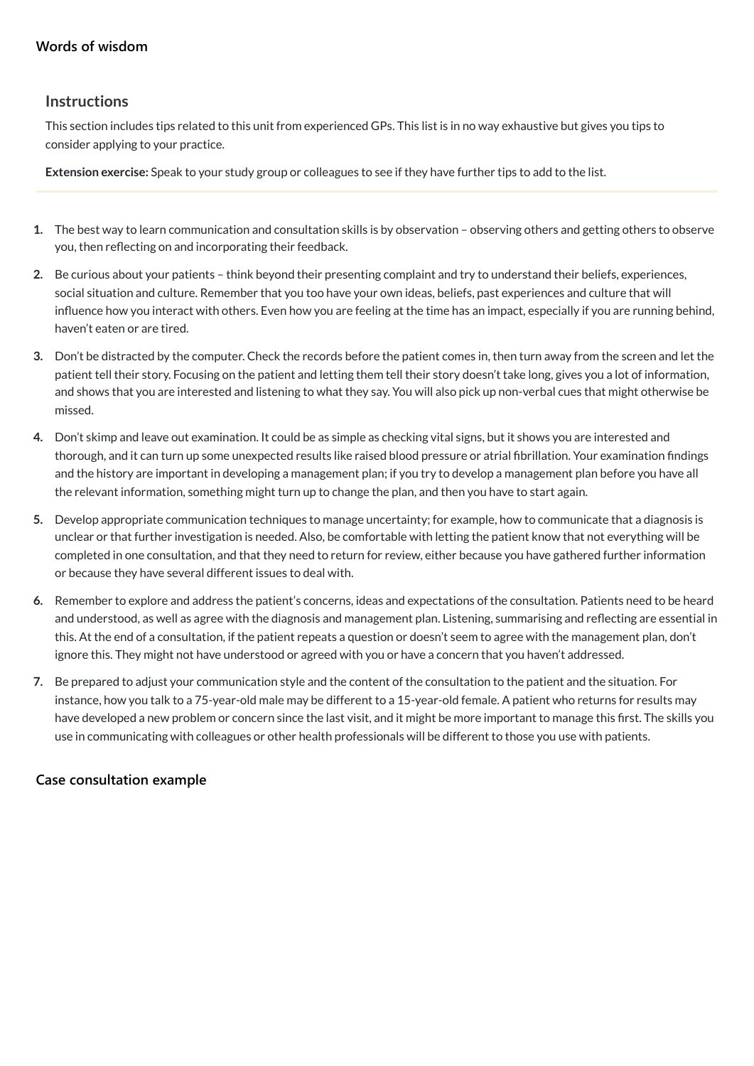## **[Words of wisdom](javascript:void(0))**

#### **Instructions**

This section includes tips related to this unit from experienced GPs. This list is in no way exhaustive but gives you tips to consider applying to your practice.

**Extension exercise:** Speak to your study group or colleagues to see if they have further tips to add to the list.

- **1.** The best way to learn communication and consultation skills is by observation observing others and getting others to observe you, then reflecting on and incorporating their feedback.
- **2.** Be curious about your patients think beyond their presenting complaint and try to understand their beliefs, experiences, social situation and culture. Remember that you too have your own ideas, beliefs, past experiences and culture that will influence how you interact with others. Even how you are feeling at the time has an impact, especially if you are running behind, haven't eaten or are tired.
- **3.** Don't be distracted by the computer. Check the records before the patient comes in, then turn away from the screen and let the patient tell their story. Focusing on the patient and letting them tell their story doesn't take long, gives you a lot of information, and shows that you are interested and listening to what they say. You will also pick up non-verbal cues that might otherwise be missed.
- **4.** Don't skimp and leave out examination. It could be as simple as checking vital signs, but it shows you are interested and thorough, and it can turn up some unexpected results like raised blood pressure or atrial fibrillation. Your examination findings and the history are important in developing a management plan; if you try to develop a management plan before you have all the relevant information, something might turn up to change the plan, and then you have to start again.
- **5.** Develop appropriate communication techniques to manage uncertainty; for example, how to communicate that a diagnosis is unclear or that further investigation is needed. Also, be comfortable with letting the patient know that not everything will be completed in one consultation, and that they need to return for review, either because you have gathered further information or because they have several different issues to deal with.
- **6.** Remember to explore and address the patient's concerns, ideas and expectations of the consultation. Patients need to be heard and understood, as well as agree with the diagnosis and management plan. Listening, summarising and reflecting are essential in this. At the end of a consultation, if the patient repeats a question or doesn't seem to agree with the management plan, don't ignore this. They might not have understood or agreed with you or have a concern that you haven't addressed.
- **7.** Be prepared to adjust your communication style and the content of the consultation to the patient and the situation. For instance, how you talk to a 75-year-old male may be different to a 15-year-old female. A patient who returns for results may have developed a new problem or concern since the last visit, and it might be more important to manage this first. The skills you use in communicating with colleagues or other health professionals will be different to those you use with patients.

## **[Case consultation example](javascript:void(0))**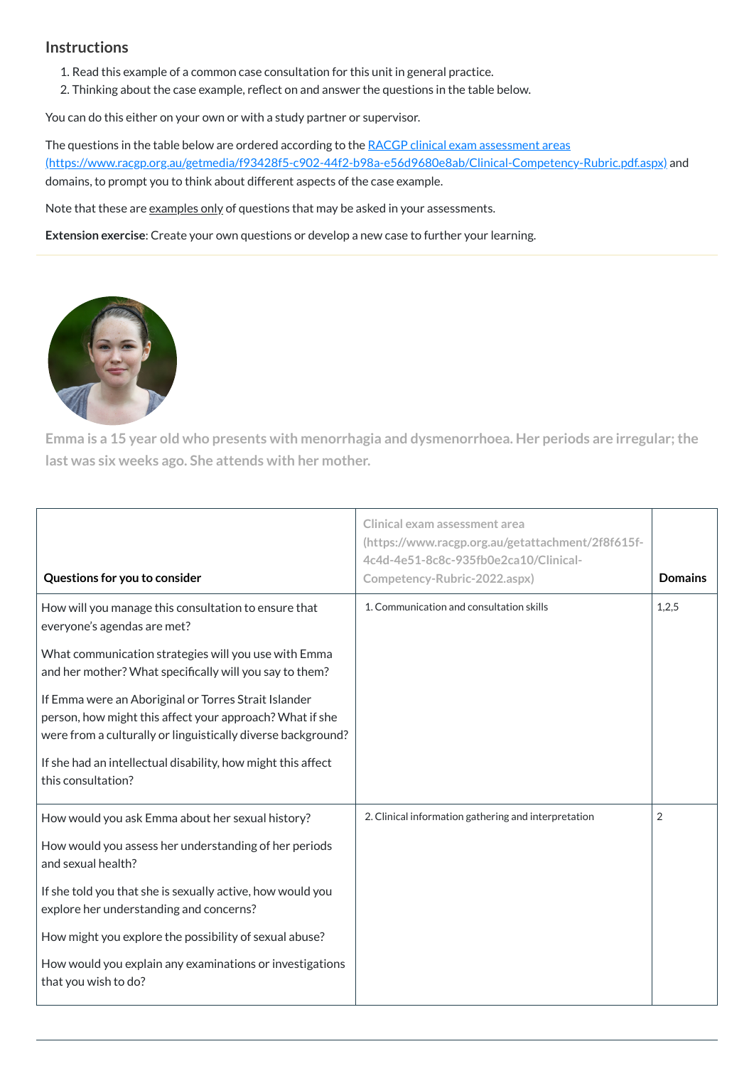## **Instructions**

- 1. Read this example of a common case consultation for this unit in general practice.
- 2. Thinking about the case example, reflect on and answer the questions in the table below.

You can do this either on your own or with a study partner or supervisor.

The questions in the table below are ordered according to the RACGP clinical exam assessment areas [\(https://www.racgp.org.au/getmedia/f93428f5-c902-44f2-b98a-e56d9680e8ab/Clinical-Competency-Rubric.pdf.aspx\)](https://www.racgp.org.au/getmedia/f93428f5-c902-44f2-b98a-e56d9680e8ab/Clinical-Competency-Rubric.pdf.aspx) and domains, to prompt you to think about different aspects of the case example.

Note that these are examples only of questions that may be asked in your assessments.

**Extension exercise**: Create your own questions or develop a new case to further your learning.



**Emma is a 15 year old who presents with menorrhagia and dysmenorrhoea. Her periods are irregular;the last was six weeks ago. She attends with her mother.**

| Questions for you to consider                                                                                                                                                    | Clinical exam assessment area<br>(https://www.racgp.org.au/getattachment/2f8f615f-<br>4c4d-4e51-8c8c-935fb0e2ca10/Clinical-<br>Competency-Rubric-2022.aspx) | <b>Domains</b> |
|----------------------------------------------------------------------------------------------------------------------------------------------------------------------------------|-------------------------------------------------------------------------------------------------------------------------------------------------------------|----------------|
| How will you manage this consultation to ensure that<br>everyone's agendas are met?                                                                                              | 1. Communication and consultation skills                                                                                                                    | 1,2,5          |
| What communication strategies will you use with Emma<br>and her mother? What specifically will you say to them?                                                                  |                                                                                                                                                             |                |
| If Emma were an Aboriginal or Torres Strait Islander<br>person, how might this affect your approach? What if she<br>were from a culturally or linguistically diverse background? |                                                                                                                                                             |                |
| If she had an intellectual disability, how might this affect<br>this consultation?                                                                                               |                                                                                                                                                             |                |

How would you ask Emma about her sexual history?

How would you assess her understanding of her periods and sexual health?

If she told you that she is sexually active, how would you explore her understanding and concerns?

How might you explore the possibility of sexual abuse?

How would you explain any examinations or investigations that you wish to do?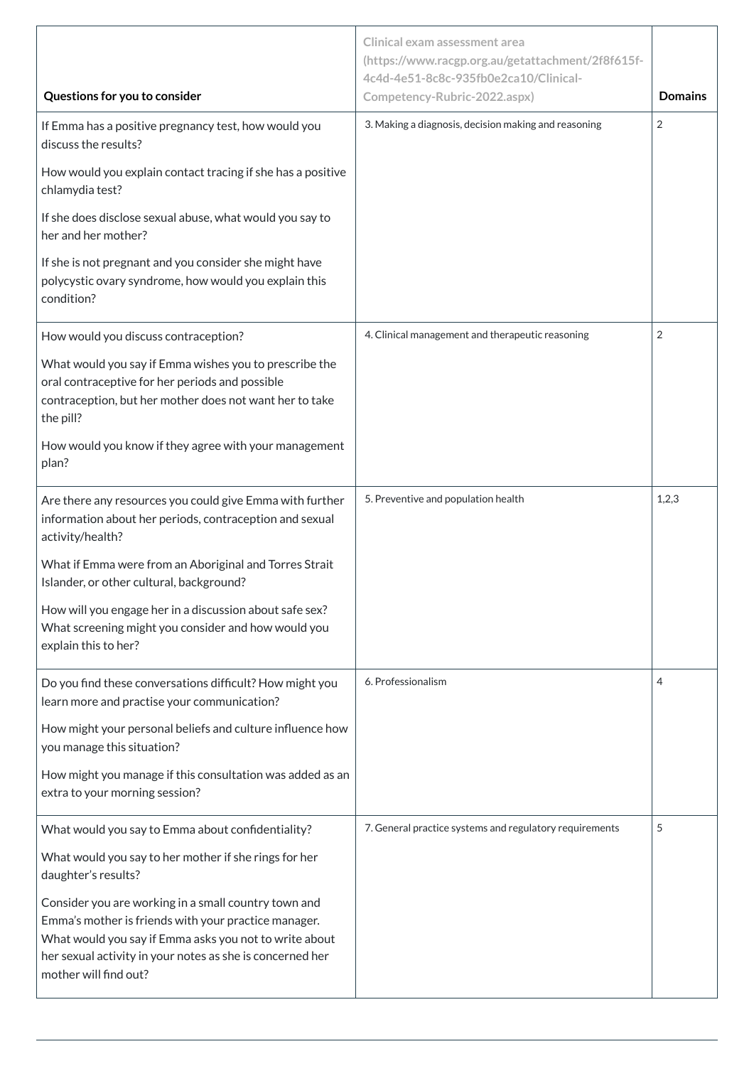|                                                                                                                                                                                                                                                              | <b>Clinical exam assessment area</b><br>(https://www.racgp.org.au/getattachment/2f8f615f-<br>4c4d-4e51-8c8c-935fb0e2ca10/Clinical- |                |
|--------------------------------------------------------------------------------------------------------------------------------------------------------------------------------------------------------------------------------------------------------------|------------------------------------------------------------------------------------------------------------------------------------|----------------|
| Questions for you to consider                                                                                                                                                                                                                                | Competency-Rubric-2022.aspx)                                                                                                       | <b>Domains</b> |
| If Emma has a positive pregnancy test, how would you<br>discuss the results?                                                                                                                                                                                 | 3. Making a diagnosis, decision making and reasoning                                                                               | $\overline{2}$ |
| How would you explain contact tracing if she has a positive<br>chlamydia test?                                                                                                                                                                               |                                                                                                                                    |                |
| If she does disclose sexual abuse, what would you say to<br>her and her mother?                                                                                                                                                                              |                                                                                                                                    |                |
| If she is not pregnant and you consider she might have<br>polycystic ovary syndrome, how would you explain this<br>condition?                                                                                                                                |                                                                                                                                    |                |
| How would you discuss contraception?                                                                                                                                                                                                                         | 4. Clinical management and therapeutic reasoning                                                                                   | $\overline{2}$ |
| What would you say if Emma wishes you to prescribe the<br>oral contraceptive for her periods and possible<br>contraception, but her mother does not want her to take<br>the pill?                                                                            |                                                                                                                                    |                |
| How would you know if they agree with your management<br>plan?                                                                                                                                                                                               |                                                                                                                                    |                |
| Are there any resources you could give Emma with further<br>information about her periods, contraception and sexual<br>activity/health?                                                                                                                      | 5. Preventive and population health                                                                                                | 1,2,3          |
| What if Emma were from an Aboriginal and Torres Strait<br>Islander, or other cultural, background?                                                                                                                                                           |                                                                                                                                    |                |
| How will you engage her in a discussion about safe sex?<br>What screening might you consider and how would you<br>explain this to her?                                                                                                                       |                                                                                                                                    |                |
| Do you find these conversations difficult? How might you<br>learn more and practise your communication?                                                                                                                                                      | 6. Professionalism                                                                                                                 | $\overline{4}$ |
| How might your personal beliefs and culture influence how<br>you manage this situation?                                                                                                                                                                      |                                                                                                                                    |                |
| How might you manage if this consultation was added as an<br>extra to your morning session?                                                                                                                                                                  |                                                                                                                                    |                |
| What would you say to Emma about confidentiality?                                                                                                                                                                                                            | 7. General practice systems and regulatory requirements                                                                            | C              |
| What would you say to her mother if she rings for her<br>daughter's results?                                                                                                                                                                                 |                                                                                                                                    |                |
| Consider you are working in a small country town and<br>Emma's mother is friends with your practice manager.<br>What would you say if Emma asks you not to write about<br>her sexual activity in your notes as she is concerned her<br>mother will find out? |                                                                                                                                    |                |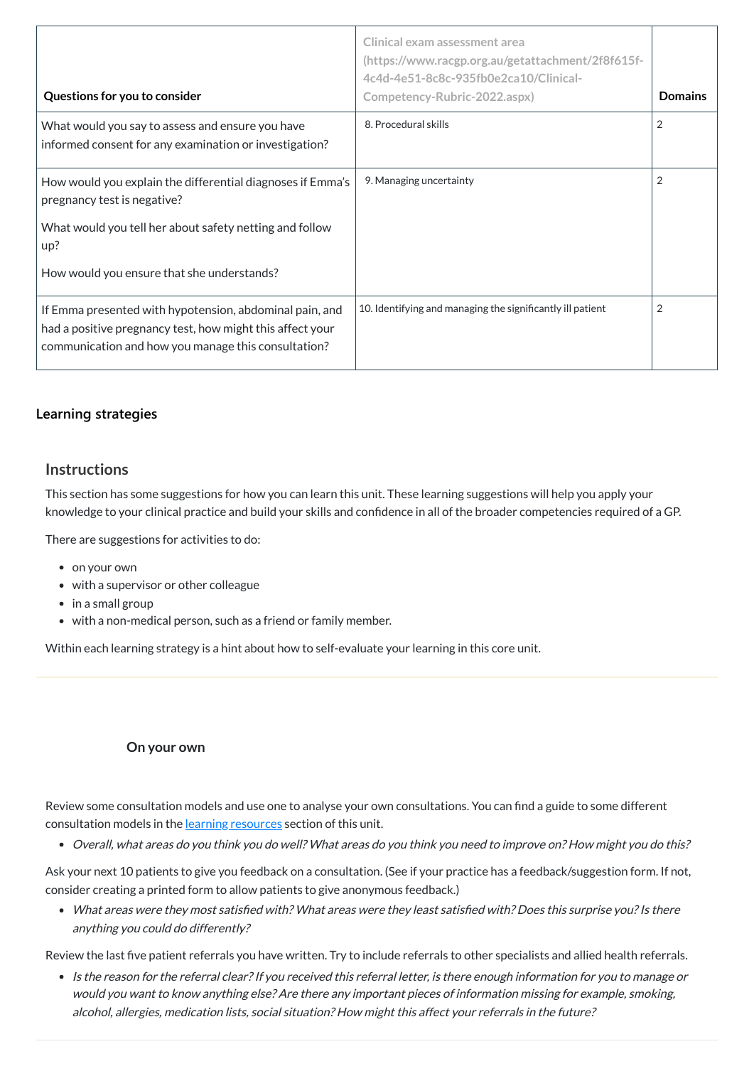| Questions for you to consider                                                                                                                                               | Clinical exam assessment area<br>(https://www.racgp.org.au/getattachment/2f8f615f-<br>4c4d-4e51-8c8c-935fb0e2ca10/Clinical-<br>Competency-Rubric-2022.aspx) | <b>Domains</b> |
|-----------------------------------------------------------------------------------------------------------------------------------------------------------------------------|-------------------------------------------------------------------------------------------------------------------------------------------------------------|----------------|
| What would you say to assess and ensure you have<br>informed consent for any examination or investigation?                                                                  | 8. Procedural skills                                                                                                                                        | 2              |
| How would you explain the differential diagnoses if Emma's<br>pregnancy test is negative?<br>What would you tell her about safety netting and follow<br>up?                 | 9. Managing uncertainty                                                                                                                                     | 2              |
| How would you ensure that she understands?                                                                                                                                  |                                                                                                                                                             |                |
| If Emma presented with hypotension, abdominal pain, and<br>had a positive pregnancy test, how might this affect your<br>communication and how you manage this consultation? | 10. Identifying and managing the significantly ill patient                                                                                                  | 2              |

Review some consultation models and use one to analyse your own consultations. You can find a guide to some different consultation models in the learning [resources](#page-9-0) section of this unit.

## **[Learning strategies](javascript:void(0))**

#### **Instructions**

This section has some suggestions for how you can learn this unit. These learning suggestions will help you apply your knowledge to your clinical practice and build your skills and confidence in all of the broader competencies required of a GP.

• What areas were they most satisfied with? What areas were they least satisfied with? Does this surprise you? Is there anything you could do differently?

There are suggestions for activities to do:

- on your own
- with a supervisor or other colleague
- in a small group
- with a non-medical person, such as a friend or family member.

• Is the reason for the referral clear? If you received this referral letter, is there enough information for you to manage or would you want to know anything else? Are there any important pieces of information missing for example, smoking, alcohol, allergies, medication lists, social situation? How might this affect your referrals in the future?

Within each learning strategy is a hint about how to self-evaluate your learning in this core unit.

#### **On your own**

Overall, what areas do you think you do well? What areas do you think you need to improve on? How might you do this?

Ask your next 10 patients to give you feedback on a consultation. (See if your practice has a feedback/suggestion form. If not, consider creating a printed form to allow patients to give anonymous feedback.)

Review the last five patient referrals you have written. Try to include referrals to other specialists and allied health referrals.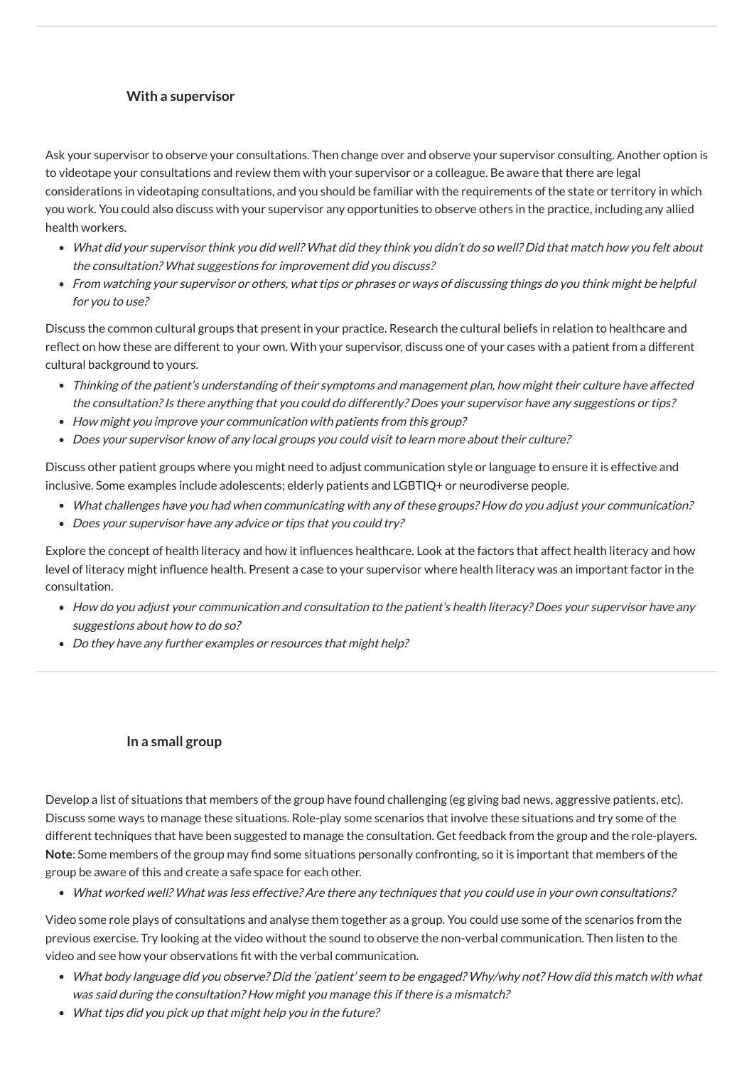#### **With a supervisor**

Ask your supervisor to observe your consultations. Then change over and observe your supervisor consulting. Another option is to videotape your consultations and review them with your supervisor or a colleague. Be aware that there are legal considerations in videotaping consultations, and you should be familiar with the requirements of the state or territory in which you work. You could also discuss with your supervisor any opportunities to observe others in the practice, including any allied health workers.

- What did your supervisor think you did well? What did they think you didn't do so well? Did that match how you felt about the consultation? What suggestions for improvement did you discuss?
- From watching your supervisor or others, what tips or phrases or ways of discussing things do you think might be helpful for you to use?

- What challenges have you had when communicating with any of these groups? How do you adjust your communication?
- Does your supervisor have any advice or tips that you could try?

Discuss the common cultural groups that present in your practice. Research the cultural beliefs in relation to healthcare and reflect on how these are different to your own. With your supervisor, discuss one of your cases with a patient from a different cultural background to yours.

- How do you adjust your communication and consultation to the patient's health literacy? Does your supervisor have any suggestions about how to do so?
- Do they have any further examples or resources that might help?
- Thinking of the patient's understanding of their symptoms and management plan, how might their culture have affected the consultation? Is there anything that you could do differently? Does your supervisor have any suggestions or tips?
- How might you improve your communication with patients from this group?
- Does your supervisor know of any local groups you could visit to learn more about their culture?

Discuss other patient groups where you might need to adjust communication style or language to ensure it is effective and inclusive. Some examples include adolescents; elderly patients and LGBTIQ+ or neurodiverse people.

Explore the concept of health literacy and how it influences healthcare. Look at the factors that affect health literacy and how level of literacy might influence health. Present a case to your supervisor where health literacy was an important factor in the consultation.

#### **In a small group**

Develop a list of situations that members of the group have found challenging (eg giving bad news, aggressive patients, etc).

Discuss some ways to manage these situations. Role-play some scenarios that involve these situations and try some of the different techniques that have been suggested to manage the consultation. Get feedback from the group and the role-players. **Note**: Some members of the group may find some situations personally confronting, so it is important that members of the group be aware of this and create a safe space for each other.

What worked well? What was less effective? Are there any techniques that you could use in your own consultations?

Video some role plays of consultations and analyse them together as a group. You could use some of the scenarios from the previous exercise. Try looking at the video without the sound to observe the non-verbal communication. Then listen to the video and see how your observations fit with the verbal communication.

- What body language did you observe? Did the 'patient' seem to be engaged? Why/why not? How did this match with what was said during the consultation? How might you manage this if there is <sup>a</sup> mismatch?
- What tips did you pick up that might help you in the future?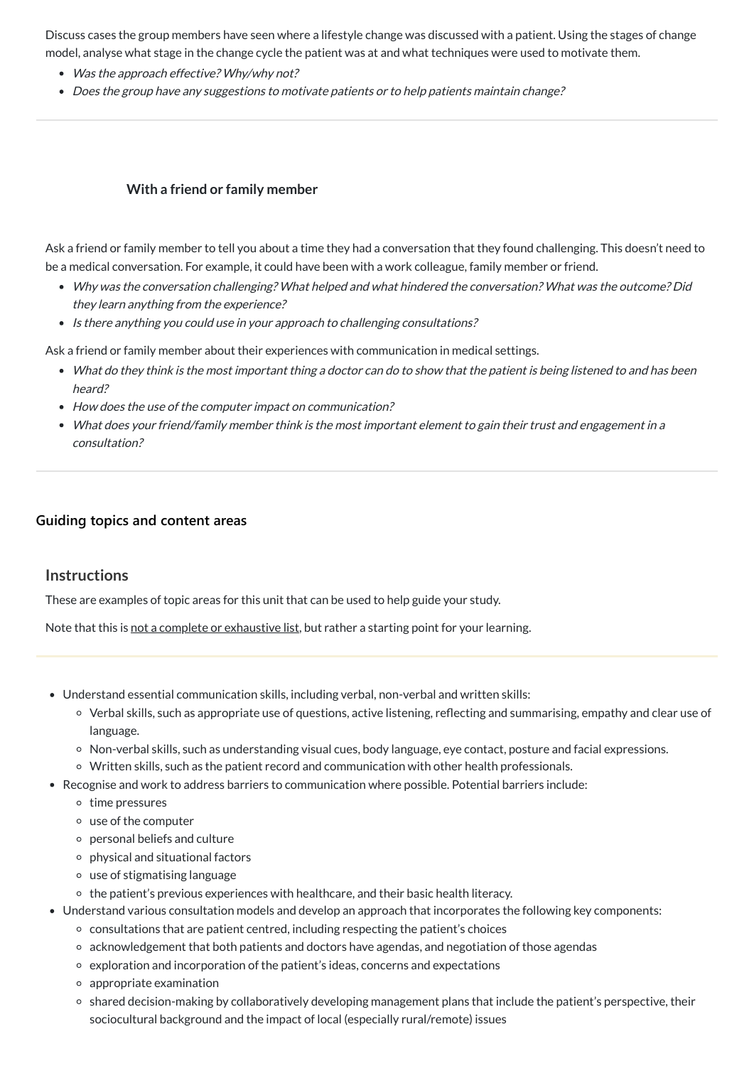Discuss cases the group members have seen where a lifestyle change was discussed with a patient. Using the stages of change model, analyse what stage in the change cycle the patient was at and what techniques were used to motivate them.

- Was the approach effective? Why/why not?
- Does the group have any suggestions to motivate patients or to help patients maintain change?

- Why was the conversation challenging? What helped and what hindered the conversation? What was the outcome? Did they learn anything from the experience?
- Is there anything you could use in your approach to challenging consultations?

## **With a friend or family member**

Ask a friend or family member to tell you about a time they had a conversation that they found challenging. This doesn't need to be a medical conversation. For example, it could have been with a work colleague, family member or friend.

Ask a friend or family member about their experiences with communication in medical settings.

- What do they think is the most important thing <sup>a</sup> doctor can do to show that the patient is being listened to and has been heard?
- How does the use of the computer impact on communication?
- What does your friend/family member think is the most important element to gain their trust and engagement in <sup>a</sup> consultation?

## **[Guiding topics and content areas](javascript:void(0))**

## **Instructions**

These are examples of topic areas for this unit that can be used to help guide your study.

Note that this is not a complete or exhaustive list, but rather a starting point for your learning.

- Understand essential communication skills, including verbal, non-verbal and written skills:
	- Verbal skills, such as appropriate use of questions, active listening, reflecting and summarising, empathy and clear use of language.
	- Non-verbal skills, such as understanding visual cues, body language, eye contact, posture and facial expressions.
	- Written skills, such as the patient record and communication with other health professionals.
- Recognise and work to address barriers to communication where possible. Potential barriers include:
	- $\circ$  time pressures
	-
	- use of the computer
	- personal beliefs and culture
	- $\circ$  physical and situational factors
	- use of stigmatising language
	- $\circ$  the patient's previous experiences with healthcare, and their basic health literacy.
- Understand various consultation models and develop an approach that incorporates the following key components:
	- $\circ$  consultations that are patient centred, including respecting the patient's choices
	- acknowledgement that both patients and doctors have agendas, and negotiation of those agendas
	- exploration and incorporation of the patient's ideas, concerns and expectations
	- $\circ$  appropriate examination
	- shared decision-making by collaboratively developing management plans that include the patient's perspective, their sociocultural background and the impact of local (especially rural/remote) issues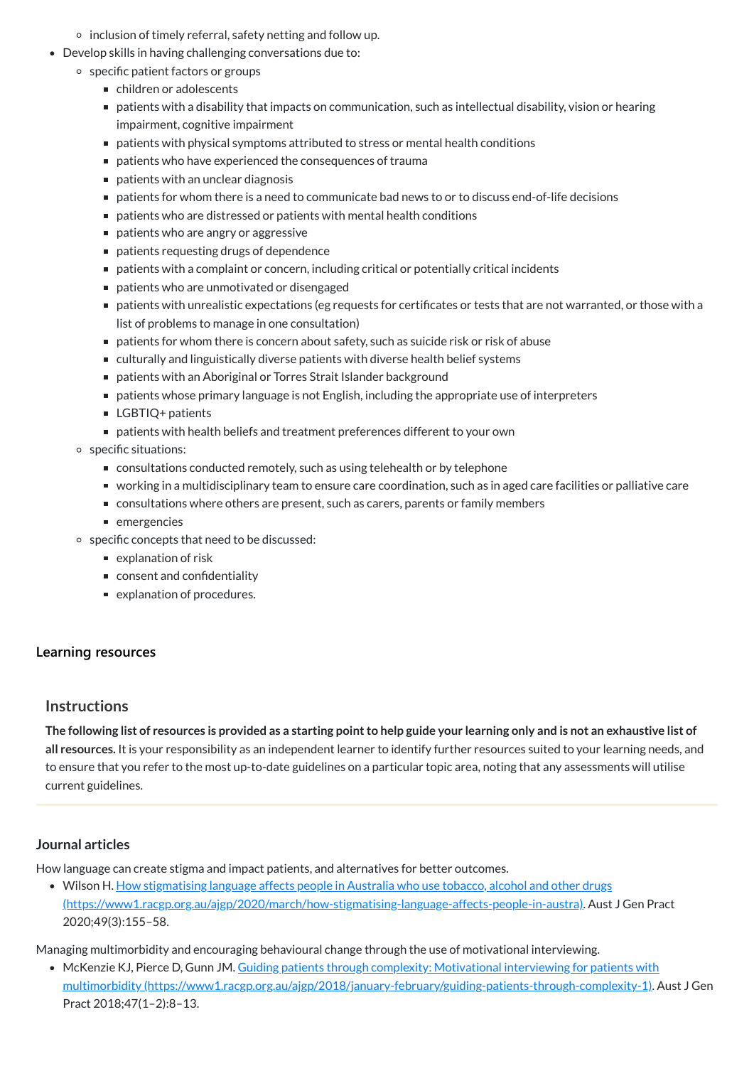The following list of resources is provided as a starting point to help guide your learning only and is not an exhaustive list of **all resources.** It is your responsibility as an independent learner to identify further resources suited to your learning needs, and to ensure that you refer to the most up-to-date guidelines on a particular topic area, noting that any assessments will utilise current guidelines.

• Wilson H. How stigmatising language affects people in Australia who use tobacco, alcohol and other drugs [\(https://www1.racgp.org.au/ajgp/2020/march/how-stigmatising-language-affects-people-in-austra\).](https://www1.racgp.org.au/ajgp/2020/march/how-stigmatising-language-affects-people-in-austra) Aust J Gen Pract 2020;49(3):155–58.

- $\circ$  inclusion of timely referral, safety netting and follow up.
- Develop skills in having challenging conversations due to:
	- o specific patient factors or groups
		- children or adolescents
		- patients with a disability that impacts on communication, such as intellectual disability, vision or hearing impairment, cognitive impairment
		- patients with physical symptoms attributed to stress or mental health conditions
		- patients who have experienced the consequences of trauma
		- $\blacksquare$  patients with an unclear diagnosis
		- patients for whom there is a need to communicate bad news to or to discuss end-of-life decisions
		- patients who are distressed or patients with mental health conditions
		- patients who are angry or aggressive
		- patients requesting drugs of dependence
		- patients with a complaint or concern, including critical or potentially critical incidents
		- patients who are unmotivated or disengaged
		- patients with unrealistic expectations (eg requests for certificates or tests that are not warranted, or those with a list of problems to manage in one consultation)
		- patients for whom there is concern about safety, such as suicide risk or risk of abuse
		- culturally and linguistically diverse patients with diverse health belief systems
		- patients with an Aboriginal or Torres Strait Islander background
		- patients whose primary language is not English, including the appropriate use of interpreters
		- LGBTIQ+ patients
		- patients with health beliefs and treatment preferences different to your own
	- specific situations:
		- consultations conducted remotely, such as using telehealth or by telephone
		- working in a multidisciplinary team to ensure care coordination, such as in aged care facilities or palliative care
		- consultations where others are present, such as carers, parents or family members
		- emergencies
	- specific concepts that need to be discussed:
		- explanation of risk
		- consent and confidentiality
		- explanation of procedures.

## **[Learning resources](javascript:void(0))**

## **Instructions**

#### <span id="page-9-0"></span>**Journal articles**

How language can create stigma and impact patients, and alternatives for better outcomes.

Managing multimorbidity and encouraging behavioural change through the use of motivational interviewing.

McKenzie KJ, Pierce D, Gunn JM. Guiding patients through complexity: Motivational interviewing for patients with multimorbidity [\(https://www1.racgp.org.au/ajgp/2018/january-february/guiding-patients-through-complexity-1\).](https://www1.racgp.org.au/ajgp/2018/january-february/guiding-patients-through-complexity-1) Aust J Gen Pract 2018;47(1–2):8–13.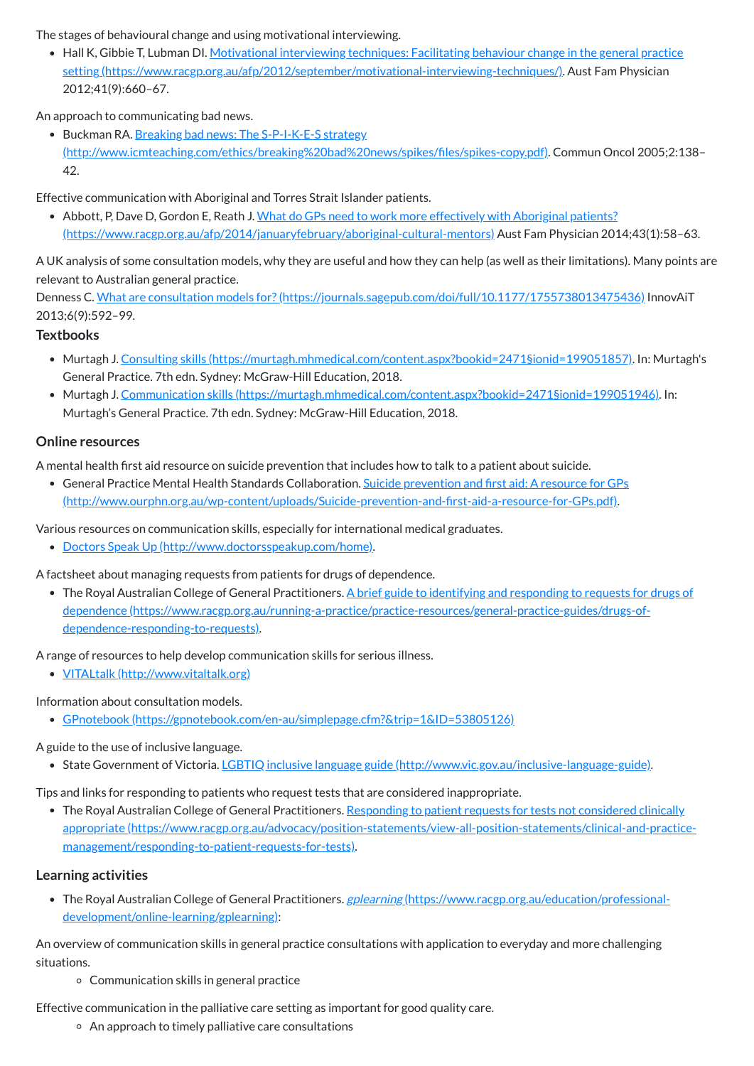The stages of behavioural change and using motivational interviewing.

• Hall K, Gibbie T, Lubman DI. Motivational interviewing techniques: Facilitating behaviour change in the general practice setting [\(https://www.racgp.org.au/afp/2012/september/motivational-interviewing-techniques/\).](https://www.racgp.org.au/afp/2012/september/motivational-interviewing-techniques/) Aust Fam Physician 2012;41(9):660–67.

• Buckman RA. Breaking bad news: The S-P-I-K-E-S strategy [\(http://www.icmteaching.com/ethics/breaking%20bad%20news/spikes/files/spikes-copy.pdf\).](http://www.icmteaching.com/ethics/breaking%20bad%20news/spikes/files/spikes-copy.pdf) Commun Oncol 2005;2:138– 42.

An approach to communicating bad news.

• Abbott, P, Dave D, Gordon E, Reath J. What do GPs need to work more effectively with Aboriginal patients? [\(https://www.racgp.org.au/afp/2014/januaryfebruary/aboriginal-cultural-mentors\)](https://www.racgp.org.au/afp/2014/januaryfebruary/aboriginal-cultural-mentors) Aust Fam Physician 2014;43(1):58–63.

Denness C. What are consultation models for? (https://journals.sagepub.com/doi/full/10.1177/1755738013475436) InnovAiT 2013;6(9):592–99.

Effective communication with Aboriginal and Torres Strait Islander patients.

A UK analysis of some consultation models, why they are useful and how they can help (as well as their limitations). Many points are relevant to Australian general practice.

## **Textbooks**

• The Royal Australian College of General Practitioners. A brief guide to identifying and responding to requests for drugs of dependence [\(https://www.racgp.org.au/running-a-practice/practice-resources/general-practice-guides/drugs-of](https://www.racgp.org.au/running-a-practice/practice-resources/general-practice-guides/drugs-of-dependence-responding-to-requests)dependence-responding-to-requests).

- Murtagh J. Consulting skills [\(https://murtagh.mhmedical.com/content.aspx?bookid=2471§ionid=199051857\)](https://murtagh.mhmedical.com/content.aspx?bookid=2471§ionid=199051857). In: Murtagh's General Practice. 7th edn. Sydney: McGraw-Hill Education, 2018.
- Murtagh J. Communication skills [\(https://murtagh.mhmedical.com/content.aspx?bookid=2471§ionid=199051946\)](https://murtagh.mhmedical.com/content.aspx?bookid=2471§ionid=199051946). In: Murtagh's General Practice. 7th edn. Sydney: McGraw-Hill Education, 2018.

## **Online resources**

• The Royal Australian College of General Practitioners. Responding to patient requests for tests not considered clinically appropriate [\(https://www.racgp.org.au/advocacy/position-statements/view-all-position-statements/clinical-and-practice](https://www.racgp.org.au/advocacy/position-statements/view-all-position-statements/clinical-and-practice-management/responding-to-patient-requests-for-tests)management/responding-to-patient-requests-for-tests).

A mental health first aid resource on suicide prevention that includes how to talk to a patient about suicide.

• The Royal Australian College of General Practitioners. gplearning [\(https://www.racgp.org.au/education/professional](https://www.racgp.org.au/education/professional-development/online-learning/gplearning)development/online-learning/gplearning):

General Practice Mental Health Standards Collaboration. Suicide prevention and first aid: A resource for GPs [\(http://www.ourphn.org.au/wp-content/uploads/Suicide-prevention-and-first-aid-a-resource-for-GPs.pdf\).](http://www.ourphn.org.au/wp-content/uploads/Suicide-prevention-and-first-aid-a-resource-for-GPs.pdf)

Various resources on communication skills, especially for international medical graduates.

Doctors Speak Up [\(http://www.doctorsspeakup.com/home\).](http://www.doctorsspeakup.com/home)

A factsheet about managing requests from patients for drugs of dependence.

A range of resources to help develop communication skills for serious illness.

VITALtalk [\(http://www.vitaltalk.org\)](http://www.vitaltalk.org/)

Information about consultation models.

GPnotebook [\(https://gpnotebook.com/en-au/simplepage.cfm?&trip=1&ID=53805126\)](https://gpnotebook.com/en-au/simplepage.cfm?&trip=1&ID=53805126)

A guide to the use of inclusive language.

• State Government of Victoria. LGBTIQ inclusive language guide [\(http://www.vic.gov.au/inclusive-language-guide\).](http://www.vic.gov.au/inclusive-language-guide)

Tips and links for responding to patients who request tests that are considered inappropriate.

**Learning activities**

An overview of communication skills in general practice consultations with application to everyday and more challenging situations.

Communication skills in general practice

Effective communication in the palliative care setting as important for good quality care.

 $\circ$  An approach to timely palliative care consultations